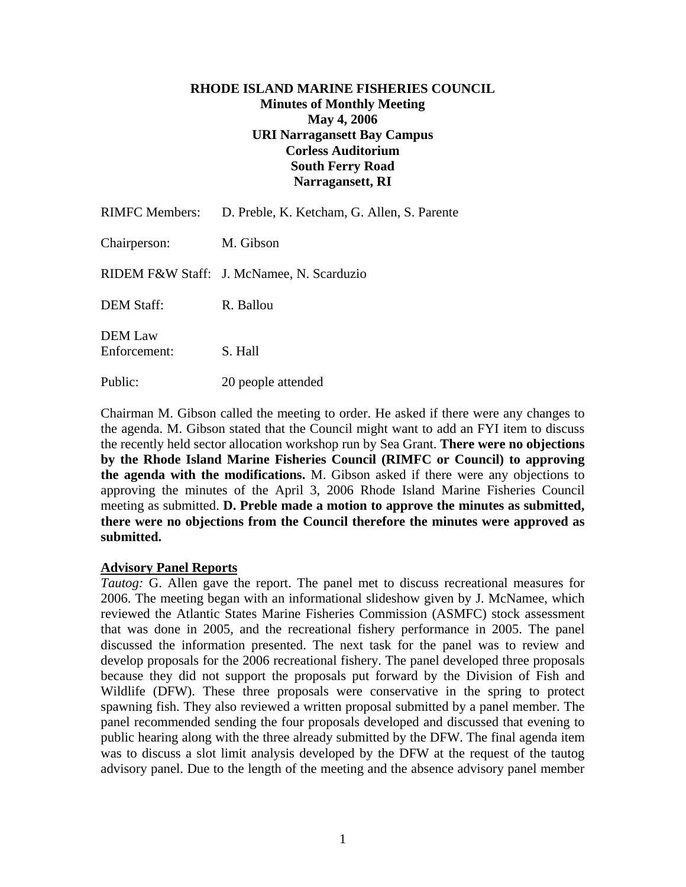# **RHODE ISLAND MARINE FISHERIES COUNCIL Minutes of Monthly Meeting May 4, 2006 URI Narragansett Bay Campus Corless Auditorium South Ferry Road Narragansett, RI**

| <b>RIMFC Members:</b>          | D. Preble, K. Ketcham, G. Allen, S. Parente |
|--------------------------------|---------------------------------------------|
| Chairperson:                   | M. Gibson                                   |
|                                | RIDEM F&W Staff: J. McNamee, N. Scarduzio   |
| <b>DEM Staff:</b>              | R. Ballou                                   |
| <b>DEM</b> Law<br>Enforcement: | S. Hall                                     |
| Public:                        | 20 people attended                          |

Chairman M. Gibson called the meeting to order. He asked if there were any changes to the agenda. M. Gibson stated that the Council might want to add an FYI item to discuss the recently held sector allocation workshop run by Sea Grant. **There were no objections by the Rhode Island Marine Fisheries Council (RIMFC or Council) to approving the agenda with the modifications.** M. Gibson asked if there were any objections to approving the minutes of the April 3, 2006 Rhode Island Marine Fisheries Council meeting as submitted. **D. Preble made a motion to approve the minutes as submitted, there were no objections from the Council therefore the minutes were approved as submitted.** 

## **Advisory Panel Reports**

*Tautog:* G. Allen gave the report. The panel met to discuss recreational measures for 2006. The meeting began with an informational slideshow given by J. McNamee, which reviewed the Atlantic States Marine Fisheries Commission (ASMFC) stock assessment that was done in 2005, and the recreational fishery performance in 2005. The panel discussed the information presented. The next task for the panel was to review and develop proposals for the 2006 recreational fishery. The panel developed three proposals because they did not support the proposals put forward by the Division of Fish and Wildlife (DFW). These three proposals were conservative in the spring to protect spawning fish. They also reviewed a written proposal submitted by a panel member. The panel recommended sending the four proposals developed and discussed that evening to public hearing along with the three already submitted by the DFW. The final agenda item was to discuss a slot limit analysis developed by the DFW at the request of the tautog advisory panel. Due to the length of the meeting and the absence advisory panel member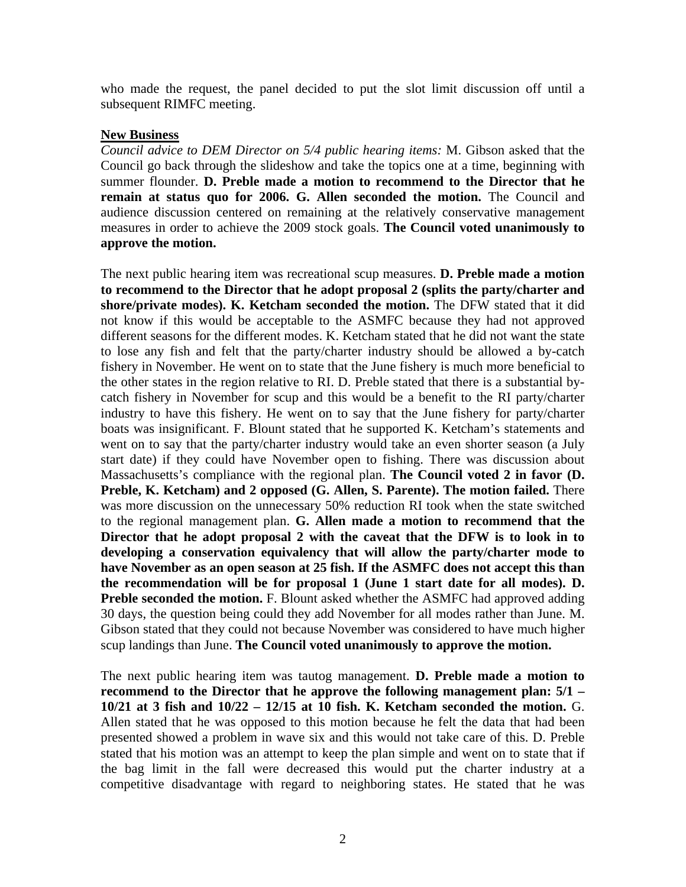who made the request, the panel decided to put the slot limit discussion off until a subsequent RIMFC meeting.

#### **New Business**

*Council advice to DEM Director on 5/4 public hearing items:* M. Gibson asked that the Council go back through the slideshow and take the topics one at a time, beginning with summer flounder. **D. Preble made a motion to recommend to the Director that he remain at status quo for 2006. G. Allen seconded the motion.** The Council and audience discussion centered on remaining at the relatively conservative management measures in order to achieve the 2009 stock goals. **The Council voted unanimously to approve the motion.**

The next public hearing item was recreational scup measures. **D. Preble made a motion to recommend to the Director that he adopt proposal 2 (splits the party/charter and shore/private modes). K. Ketcham seconded the motion.** The DFW stated that it did not know if this would be acceptable to the ASMFC because they had not approved different seasons for the different modes. K. Ketcham stated that he did not want the state to lose any fish and felt that the party/charter industry should be allowed a by-catch fishery in November. He went on to state that the June fishery is much more beneficial to the other states in the region relative to RI. D. Preble stated that there is a substantial bycatch fishery in November for scup and this would be a benefit to the RI party/charter industry to have this fishery. He went on to say that the June fishery for party/charter boats was insignificant. F. Blount stated that he supported K. Ketcham's statements and went on to say that the party/charter industry would take an even shorter season (a July start date) if they could have November open to fishing. There was discussion about Massachusetts's compliance with the regional plan. **The Council voted 2 in favor (D. Preble, K. Ketcham) and 2 opposed (G. Allen, S. Parente). The motion failed.** There was more discussion on the unnecessary 50% reduction RI took when the state switched to the regional management plan. **G. Allen made a motion to recommend that the Director that he adopt proposal 2 with the caveat that the DFW is to look in to developing a conservation equivalency that will allow the party/charter mode to have November as an open season at 25 fish. If the ASMFC does not accept this than the recommendation will be for proposal 1 (June 1 start date for all modes). D. Preble seconded the motion.** F. Blount asked whether the ASMFC had approved adding 30 days, the question being could they add November for all modes rather than June. M. Gibson stated that they could not because November was considered to have much higher scup landings than June. **The Council voted unanimously to approve the motion.**

The next public hearing item was tautog management. **D. Preble made a motion to recommend to the Director that he approve the following management plan: 5/1 – 10/21 at 3 fish and 10/22 – 12/15 at 10 fish. K. Ketcham seconded the motion.** G. Allen stated that he was opposed to this motion because he felt the data that had been presented showed a problem in wave six and this would not take care of this. D. Preble stated that his motion was an attempt to keep the plan simple and went on to state that if the bag limit in the fall were decreased this would put the charter industry at a competitive disadvantage with regard to neighboring states. He stated that he was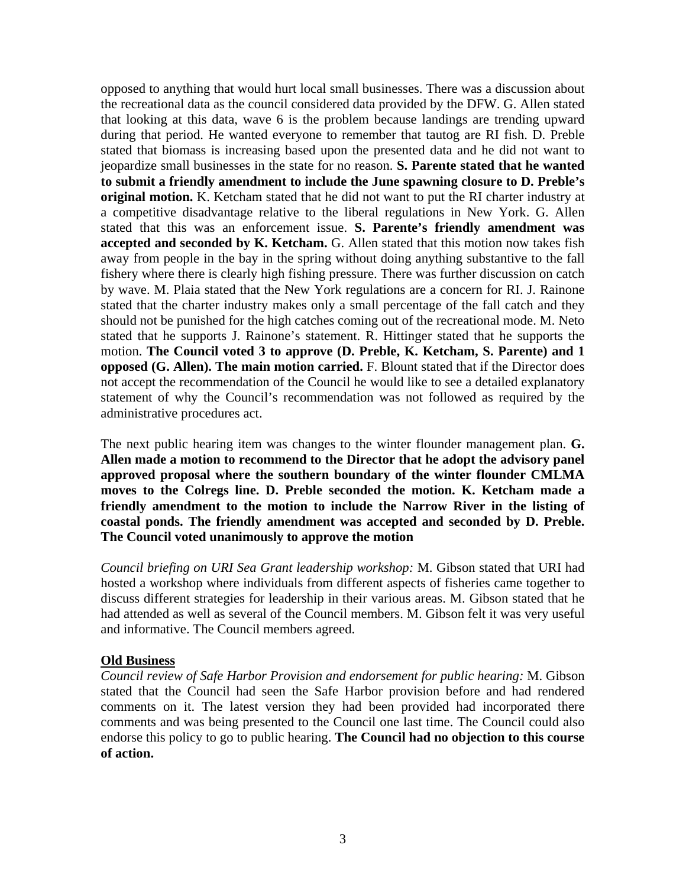opposed to anything that would hurt local small businesses. There was a discussion about the recreational data as the council considered data provided by the DFW. G. Allen stated that looking at this data, wave 6 is the problem because landings are trending upward during that period. He wanted everyone to remember that tautog are RI fish. D. Preble stated that biomass is increasing based upon the presented data and he did not want to jeopardize small businesses in the state for no reason. **S. Parente stated that he wanted to submit a friendly amendment to include the June spawning closure to D. Preble's original motion.** K. Ketcham stated that he did not want to put the RI charter industry at a competitive disadvantage relative to the liberal regulations in New York. G. Allen stated that this was an enforcement issue. **S. Parente's friendly amendment was accepted and seconded by K. Ketcham.** G. Allen stated that this motion now takes fish away from people in the bay in the spring without doing anything substantive to the fall fishery where there is clearly high fishing pressure. There was further discussion on catch by wave. M. Plaia stated that the New York regulations are a concern for RI. J. Rainone stated that the charter industry makes only a small percentage of the fall catch and they should not be punished for the high catches coming out of the recreational mode. M. Neto stated that he supports J. Rainone's statement. R. Hittinger stated that he supports the motion. **The Council voted 3 to approve (D. Preble, K. Ketcham, S. Parente) and 1 opposed (G. Allen). The main motion carried.** F. Blount stated that if the Director does not accept the recommendation of the Council he would like to see a detailed explanatory statement of why the Council's recommendation was not followed as required by the administrative procedures act.

The next public hearing item was changes to the winter flounder management plan. **G. Allen made a motion to recommend to the Director that he adopt the advisory panel approved proposal where the southern boundary of the winter flounder CMLMA moves to the Colregs line. D. Preble seconded the motion. K. Ketcham made a friendly amendment to the motion to include the Narrow River in the listing of coastal ponds. The friendly amendment was accepted and seconded by D. Preble. The Council voted unanimously to approve the motion** 

*Council briefing on URI Sea Grant leadership workshop:* M. Gibson stated that URI had hosted a workshop where individuals from different aspects of fisheries came together to discuss different strategies for leadership in their various areas. M. Gibson stated that he had attended as well as several of the Council members. M. Gibson felt it was very useful and informative. The Council members agreed.

### **Old Business**

*Council review of Safe Harbor Provision and endorsement for public hearing:* M. Gibson stated that the Council had seen the Safe Harbor provision before and had rendered comments on it. The latest version they had been provided had incorporated there comments and was being presented to the Council one last time. The Council could also endorse this policy to go to public hearing. **The Council had no objection to this course of action.**